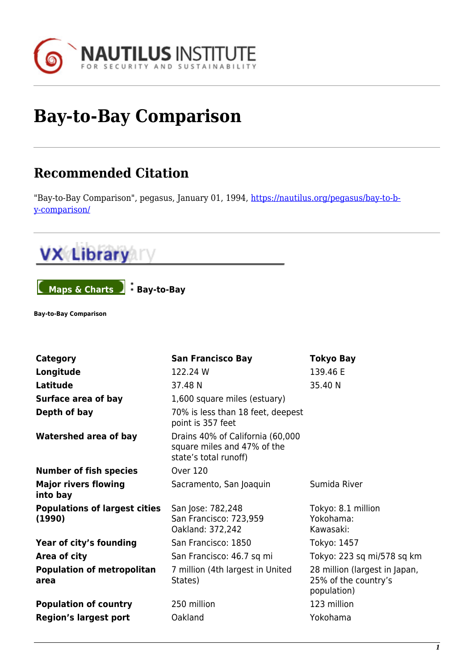

## **Bay-to-Bay Comparison**

## **Recommended Citation**

"Bay-to-Bay Comparison", pegasus, January 01, 1994, [https://nautilus.org/pegasus/bay-to-b](https://nautilus.org/pegasus/bay-to-bay-comparison/)[y-comparison/](https://nautilus.org/pegasus/bay-to-bay-comparison/)



**Maps & Charts Bay-to-Bay** 

**Bay-to-Bay Comparison**

| <b>Category</b>                                | <b>San Francisco Bay</b>                                                                 | <b>Tokyo Bay</b>                                                     |
|------------------------------------------------|------------------------------------------------------------------------------------------|----------------------------------------------------------------------|
| Longitude                                      | 122.24 W                                                                                 | 139.46 E                                                             |
| Latitude                                       | 37.48 N                                                                                  | 35.40 N                                                              |
| Surface area of bay                            | 1,600 square miles (estuary)                                                             |                                                                      |
| Depth of bay                                   | 70% is less than 18 feet, deepest<br>point is 357 feet                                   |                                                                      |
| <b>Watershed area of bay</b>                   | Drains 40% of California (60,000<br>square miles and 47% of the<br>state's total runoff) |                                                                      |
| <b>Number of fish species</b>                  | <b>Over 120</b>                                                                          |                                                                      |
| <b>Major rivers flowing</b><br>into bay        | Sacramento, San Joaquin                                                                  | Sumida River                                                         |
| <b>Populations of largest cities</b><br>(1990) | San Jose: 782,248<br>San Francisco: 723,959<br>Oakland: 372,242                          | Tokyo: 8.1 million<br>Yokohama:<br>Kawasaki:                         |
| Year of city's founding                        | San Francisco: 1850                                                                      | Tokyo: 1457                                                          |
| Area of city                                   | San Francisco: 46.7 sq mi                                                                | Tokyo: 223 sq mi/578 sq km                                           |
| <b>Population of metropolitan</b><br>area      | 7 million (4th largest in United<br>States)                                              | 28 million (largest in Japan,<br>25% of the country's<br>population) |
| <b>Population of country</b>                   | 250 million                                                                              | 123 million                                                          |
| <b>Region's largest port</b>                   | Oakland                                                                                  | Yokohama                                                             |